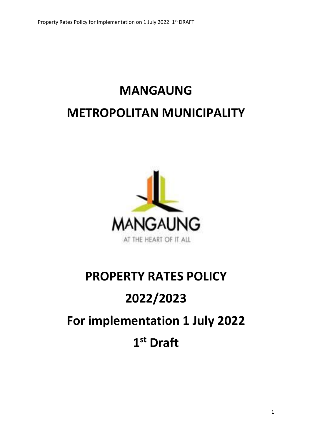# **MANGAUNG METROPOLITAN MUNICIPALITY**



# **PROPERTY RATES POLICY 2022/2023 For implementation 1 July 2022 1 st Draft**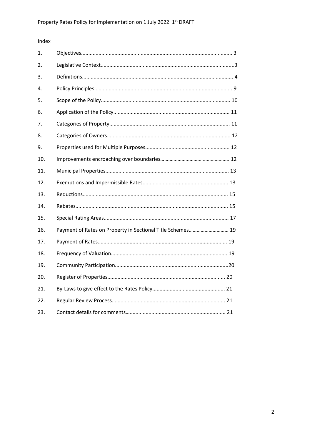# Index

| 1.  |                                                            |
|-----|------------------------------------------------------------|
| 2.  |                                                            |
| 3.  |                                                            |
| 4.  |                                                            |
| 5.  |                                                            |
| 6.  |                                                            |
| 7.  |                                                            |
| 8.  |                                                            |
| 9.  |                                                            |
| 10. |                                                            |
| 11. |                                                            |
| 12. |                                                            |
| 13. |                                                            |
| 14. |                                                            |
| 15. |                                                            |
| 16. | Payment of Rates on Property in Sectional Title Schemes 19 |
| 17. |                                                            |
| 18. |                                                            |
| 19. |                                                            |
| 20. |                                                            |
| 21. |                                                            |
| 22. |                                                            |
| 23. |                                                            |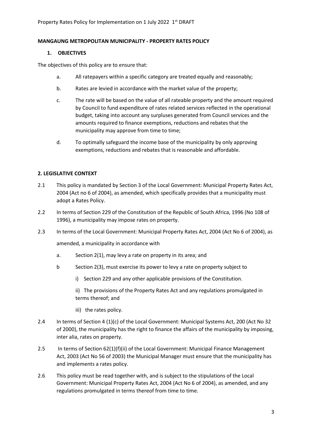# **MANGAUNG METROPOLITAN MUNICIPALITY - PROPERTY RATES POLICY**

# **1. OBJECTIVES**

The objectives of this policy are to ensure that:

- a. All ratepayers within a specific category are treated equally and reasonably;
- b. Rates are levied in accordance with the market value of the property;
- c. The rate will be based on the value of all rateable property and the amount required by Council to fund expenditure of rates related services reflected in the operational budget, taking into account any surpluses generated from Council services and the amounts required to finance exemptions, reductions and rebates that the municipality may approve from time to time;
- d. To optimally safeguard the income base of the municipality by only approving exemptions, reductions and rebates that is reasonable and affordable.

# **2. LEGISLATIVE CONTEXT**

- 2.1 This policy is mandated by Section 3 of the Local Government: Municipal Property Rates Act, 2004 (Act no 6 of 2004), as amended, which specifically provides that a municipality must adopt a Rates Policy.
- 2.2 In terms of Section 229 of the Constitution of the Republic of South Africa, 1996 (No 108 of 1996), a municipality may impose rates on property.
- 2.3 In terms of the Local Government: Municipal Property Rates Act, 2004 (Act No 6 of 2004), as

amended, a municipality in accordance with

- a. Section 2(1), may levy a rate on property in its area; and
- b Section 2(3), must exercise its power to levy a rate on property subject to
	- i) Section 229 and any other applicable provisions of the Constitution.

ii) The provisions of the Property Rates Act and any regulations promulgated in terms thereof; and

- iii) the rates policy.
- 2.4 In terms of Section 4 (1)(c) of the Local Government: Municipal Systems Act, 200 (Act No 32 of 2000), the municipality has the right to finance the affairs of the municipality by imposing, inter alia, rates on property.
- 2.5 In terms of Section 62(1)(f)(ii) of the Local Government: Municipal Finance Management Act, 2003 (Act No 56 of 2003) the Municipal Manager must ensure that the municipality has and implements a rates policy.
- 2.6 This policy must be read together with, and is subject to the stipulations of the Local Government: Municipal Property Rates Act, 2004 (Act No 6 of 2004), as amended, and any regulations promulgated in terms thereof from time to time.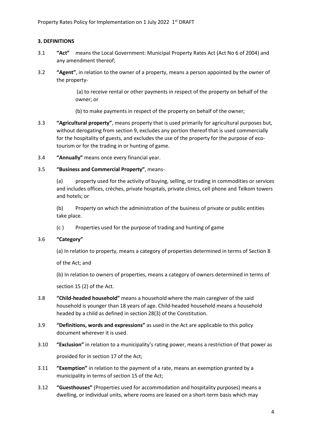# **3. DEFINITIONS**

- 3.1 **"Act"** means the Local Government: Municipal Property Rates Act (Act No 6 of 2004) and any amendment thereof;
- 3.2 **"Agent"**, in relation to the owner of a property, means a person appointed by the owner of the property-

(a) to receive rental or other payments in respect of the property on behalf of the owner; or

(b) to make payments in respect of the property on behalf of the owner;

- 3.3 **"Agricultural property"**, means property that is used primarily for agricultural purposes but, without derogating from section 9, excludes any portion thereof that is used commercially for the hospitality of guests, and excludes the use of the property for the purpose of ecotourism or for the trading in or hunting of game.
- 3.4 **"Annually"** means once every financial year.

# 3.5 **"Business and Commercial Property"**, means-

(a) property used for the activity of buying, selling, or trading in commodities or services and includes offices, crèches, private hospitals, private clinics, cell phone and Telkom towers and hotels; or

(b) Property on which the administration of the business of private or public entities take place.

(c ) Properties used for the purpose of trading and hunting of game

# 3.6 **"Category"**

(a) In relation to property, means a category of properties determined in terms of Section 8

of the Act; and

(b) In relation to owners of properties, means a category of owners determined in terms of

section 15 (2) of the Act.

- 3.8 **"Child-headed household"** means a household where the main caregiver of the said household is younger than 18 years of age. Child-headed household means a household headed by a child as defined in section 28(3) of the Constitution.
- 3.9 **"Definitions, words and expressions"** as used in the Act are applicable to this policy document wherever it is used.
- 3.10 **"Exclusion"** in relation to a municipality's rating power, means a restriction of that power as provided for in section 17 of the Act;
- 3.11 **"Exemption"** in relation to the payment of a rate, means an exemption granted by a municipality in terms of section 15 of the Act;
- 3.12 **"Guesthouses"** (Properties used for accommodation and hospitality purposes) means a dwelling, or individual units, where rooms are leased on a short-term basis which may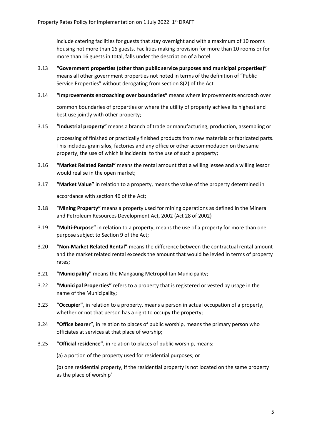include catering facilities for guests that stay overnight and with a maximum of 10 rooms housing not more than 16 guests. Facilities making provision for more than 10 rooms or for more than 16 guests in total, falls under the description of a hotel

- 3.13 **"Government properties (other than public service purposes and municipal properties)"**  means all other government properties not noted in terms of the definition of "Public Service Properties" without derogating from section 8(2) of the Act
- 3.14 **"Improvements encroaching over boundaries"** means where improvements encroach over

common boundaries of properties or where the utility of property achieve its highest and best use jointly with other property;

3.15 **"Industrial property"** means a branch of trade or manufacturing, production, assembling or

processing of finished or practically finished products from raw materials or fabricated parts. This includes grain silos, factories and any office or other accommodation on the same property, the use of which is incidental to the use of such a property;

- 3.16 **"Market Related Rental"** means the rental amount that a willing lessee and a willing lessor would realise in the open market;
- 3.17 **"Market Value"** in relation to a property, means the value of the property determined in accordance with section 46 of the Act;
- 3.18 "**Mining Property"** means a property used for mining operations as defined in the Mineral and Petroleum Resources Development Act, 2002 (Act 28 of 2002)
- 3.19 **"Multi-Purpose"** in relation to a property, means the use of a property for more than one purpose subject to Section 9 of the Act;
- 3.20 **"Non-Market Related Rental"** means the difference between the contractual rental amount and the market related rental exceeds the amount that would be levied in terms of property rates;
- 3.21 **"Municipality"** means the Mangaung Metropolitan Municipality;
- 3.22 **"Municipal Properties"** refers to a property that is registered or vested by usage in the name of the Municipality;
- 3.23 **"Occupier"**, in relation to a property, means a person in actual occupation of a property, whether or not that person has a right to occupy the property;
- 3.24 **"Office bearer"**, in relation to places of public worship, means the primary person who officiates at services at that place of worship;
- 3.25 **"Official residence"**, in relation to places of public worship, means: -

(a) a portion of the property used for residential purposes; or

(b) one residential property, if the residential property is not located on the same property as the place of worship'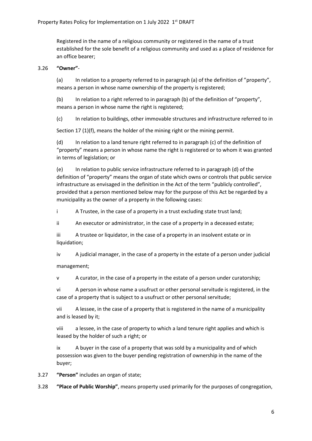Registered in the name of a religious community or registered in the name of a trust established for the sole benefit of a religious community and used as a place of residence for an office bearer;

# 3.26 **"Owner"**-

(a) In relation to a property referred to in paragraph (a) of the definition of "property", means a person in whose name ownership of the property is registered;

(b) In relation to a right referred to in paragraph (b) of the definition of "property", means a person in whose name the right is registered;

(c) In relation to buildings, other immovable structures and infrastructure referred to in

Section 17 (1)(f), means the holder of the mining right or the mining permit.

(d) In relation to a land tenure right referred to in paragraph (c) of the definition of "property" means a person in whose name the right is registered or to whom it was granted in terms of legislation; or

(e) In relation to public service infrastructure referred to in paragraph (d) of the definition of "property" means the organ of state which owns or controls that public service infrastructure as envisaged in the definition in the Act of the term "publicly controlled", provided that a person mentioned below may for the purpose of this Act be regarded by a municipality as the owner of a property in the following cases:

i A Trustee, in the case of a property in a trust excluding state trust land;

ii An executor or administrator, in the case of a property in a deceased estate;

iii A trustee or liquidator, in the case of a property in an insolvent estate or in liquidation;

iv A judicial manager, in the case of a property in the estate of a person under judicial

management;

v A curator, in the case of a property in the estate of a person under curatorship;

vi A person in whose name a usufruct or other personal servitude is registered, in the case of a property that is subject to a usufruct or other personal servitude;

vii A lessee, in the case of a property that is registered in the name of a municipality and is leased by it;

viii a lessee, in the case of property to which a land tenure right applies and which is leased by the holder of such a right; or

ix A buyer in the case of a property that was sold by a municipality and of which possession was given to the buyer pending registration of ownership in the name of the buyer;

3.27 **"Person"** includes an organ of state;

3.28 **"Place of Public Worship"**, means property used primarily for the purposes of congregation,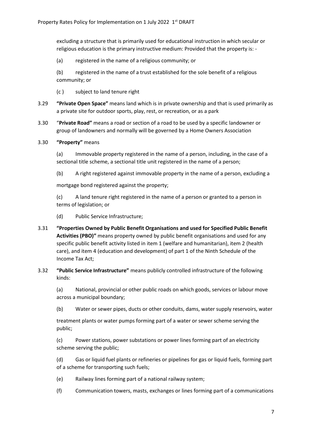excluding a structure that is primarily used for educational instruction in which secular or religious education is the primary instructive medium: Provided that the property is: -

(a) registered in the name of a religious community; or

(b) registered in the name of a trust established for the sole benefit of a religious community; or

- (c ) subject to land tenure right
- 3.29 **"Private Open Space"** means land which is in private ownership and that is used primarily as a private site for outdoor sports, play, rest, or recreation, or as a park
- 3.30 "**Private Road"** means a road or section of a road to be used by a specific landowner or group of landowners and normally will be governed by a Home Owners Association
- 3.30 **"Property"** means

(a) Immovable property registered in the name of a person, including, in the case of a sectional title scheme, a sectional title unit registered in the name of a person;

(b) A right registered against immovable property in the name of a person, excluding a

mortgage bond registered against the property;

(c) A land tenure right registered in the name of a person or granted to a person in terms of legislation; or

- (d) Public Service Infrastructure;
- 3.31 **"Properties Owned by Public Benefit Organisations and used for Specified Public Benefit Activities (PBO)"** means property owned by public benefit organisations and used for any specific public benefit activity listed in item 1 (welfare and humanitarian), item 2 (health care), and item 4 (education and development) of part 1 of the Ninth Schedule of the Income Tax Act;
- 3.32 **"Public Service Infrastructure"** means publicly controlled infrastructure of the following kinds:

(a) National, provincial or other public roads on which goods, services or labour move across a municipal boundary;

(b) Water or sewer pipes, ducts or other conduits, dams, water supply reservoirs, water

treatment plants or water pumps forming part of a water or sewer scheme serving the public;

(c) Power stations, power substations or power lines forming part of an electricity scheme serving the public;

(d) Gas or liquid fuel plants or refineries or pipelines for gas or liquid fuels, forming part of a scheme for transporting such fuels;

- (e) Railway lines forming part of a national railway system;
- (f) Communication towers, masts, exchanges or lines forming part of a communications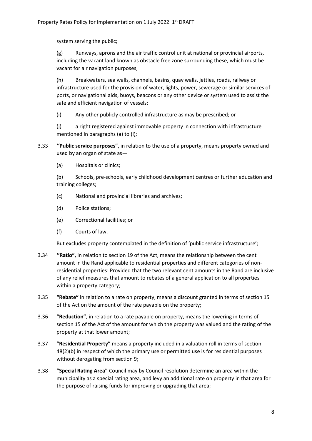system serving the public;

(g) Runways, aprons and the air traffic control unit at national or provincial airports, including the vacant land known as obstacle free zone surrounding these, which must be vacant for air navigation purposes,

(h) Breakwaters, sea walls, channels, basins, quay walls, jetties, roads, railway or infrastructure used for the provision of water, lights, power, sewerage or similar services of ports, or navigational aids, buoys, beacons or any other device or system used to assist the safe and efficient navigation of vessels;

(i) Any other publicly controlled infrastructure as may be prescribed; or

(j) a right registered against immovable property in connection with infrastructure mentioned in paragraphs (a) to (i);

- 3.33 **''Public service purposes"**, in relation to the use of a property, means property owned and used by an organ of state as—
	- (a) Hospitals or clinics;

(b) Schools, pre-schools, early childhood development centres or further education and training colleges;

- (c) National and provincial libraries and archives;
- (d) Police stations;
- (e) Correctional facilities; or
- (f) Courts of law,

But excludes property contemplated in the definition of 'public service infrastructure';

- 3.34 **''Ratio"**, in relation to section 19 of the Act, means the relationship between the cent amount in the Rand applicable to residential properties and different categories of nonresidential properties: Provided that the two relevant cent amounts in the Rand are inclusive of any relief measures that amount to rebates of a general application to all properties within a property category;
- 3.35 **"Rebate"** in relation to a rate on property, means a discount granted in terms of section 15 of the Act on the amount of the rate payable on the property;
- 3.36 **"Reduction"**, in relation to a rate payable on property, means the lowering in terms of section 15 of the Act of the amount for which the property was valued and the rating of the property at that lower amount;
- 3.37 **"Residential Property"** means a property included in a valuation roll in terms of section 48(2)(b) in respect of which the primary use or permitted use is for residential purposes without derogating from section 9;
- 3.38 **"Special Rating Area"** Council may by Council resolution determine an area within the municipality as a special rating area, and levy an additional rate on property in that area for the purpose of raising funds for improving or upgrading that area;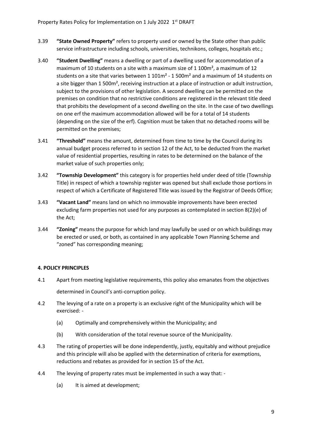- 3.39 **"State Owned Property"** refers to property used or owned by the State other than public service infrastructure including schools, universities, technikons, colleges, hospitals etc.;
- 3.40 **"Student Dwelling"** means a dwelling or part of a dwelling used for accommodation of a maximum of 10 students on a site with a maximum size of 1 100m², a maximum of 12 students on a site that varies between  $1.101m^2 - 1.500m^2$  and a maximum of 14 students on a site bigger than 1 500m², receiving instruction at a place of instruction or adult instruction, subject to the provisions of other legislation. A second dwelling can be permitted on the premises on condition that no restrictive conditions are registered in the relevant title deed that prohibits the development of a second dwelling on the site. In the case of two dwellings on one erf the maximum accommodation allowed will be for a total of 14 students (depending on the size of the erf). Cognition must be taken that no detached rooms will be permitted on the premises;
- 3.41 **"Threshold"** means the amount, determined from time to time by the Council during its annual budget process referred to in section 12 of the Act, to be deducted from the market value of residential properties, resulting in rates to be determined on the balance of the market value of such properties only;
- 3.42 **"Township Development"** this category is for properties held under deed of title (Township Title) in respect of which a township register was opened but shall exclude those portions in respect of which a Certificate of Registered Title was issued by the Registrar of Deeds Office;
- 3.43 **"Vacant Land"** means land on which no immovable improvements have been erected excluding farm properties not used for any purposes as contemplated in section 8(2)(e) of the Act;
- 3.44 **"Zoning"** means the purpose for which land may lawfully be used or on which buildings may be erected or used, or both, as contained in any applicable Town Planning Scheme and "zoned" has corresponding meaning;

# **4. POLICY PRINCIPLES**

- 4.1 Apart from meeting legislative requirements, this policy also emanates from the objectives determined in Council's anti-corruption policy.
- 4.2 The levying of a rate on a property is an exclusive right of the Municipality which will be exercised: -
	- (a) Optimally and comprehensively within the Municipality; and
	- (b) With consideration of the total revenue source of the Municipality.
- 4.3 The rating of properties will be done independently, justly, equitably and without prejudice and this principle will also be applied with the determination of criteria for exemptions, reductions and rebates as provided for in section 15 of the Act.
- 4.4 The levying of property rates must be implemented in such a way that:
	- (a) It is aimed at development;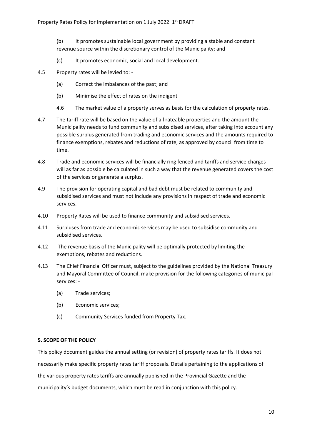(b) It promotes sustainable local government by providing a stable and constant revenue source within the discretionary control of the Municipality; and

- (c) It promotes economic, social and local development.
- 4.5 Property rates will be levied to:
	- (a) Correct the imbalances of the past; and
	- (b) Minimise the effect of rates on the indigent
	- 4.6 The market value of a property serves as basis for the calculation of property rates.
- 4.7 The tariff rate will be based on the value of all rateable properties and the amount the Municipality needs to fund community and subsidised services, after taking into account any possible surplus generated from trading and economic services and the amounts required to finance exemptions, rebates and reductions of rate, as approved by council from time to time.
- 4.8 Trade and economic services will be financially ring fenced and tariffs and service charges will as far as possible be calculated in such a way that the revenue generated covers the cost of the services or generate a surplus.
- 4.9 The provision for operating capital and bad debt must be related to community and subsidised services and must not include any provisions in respect of trade and economic services.
- 4.10 Property Rates will be used to finance community and subsidised services.
- 4.11 Surpluses from trade and economic services may be used to subsidise community and subsidised services.
- 4.12 The revenue basis of the Municipality will be optimally protected by limiting the exemptions, rebates and reductions.
- 4.13 The Chief Financial Officer must, subject to the guidelines provided by the National Treasury and Mayoral Committee of Council, make provision for the following categories of municipal services: -
	- (a) Trade services;
	- (b) Economic services;
	- (c) Community Services funded from Property Tax.

## **5. SCOPE OF THE POLICY**

This policy document guides the annual setting (or revision) of property rates tariffs. It does not necessarily make specific property rates tariff proposals. Details pertaining to the applications of the various property rates tariffs are annually published in the Provincial Gazette and the municipality's budget documents, which must be read in conjunction with this policy.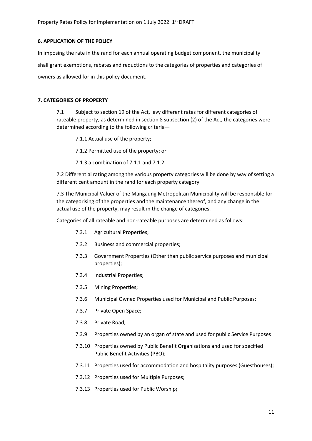## **6. APPLICATION OF THE POLICY**

In imposing the rate in the rand for each annual operating budget component, the municipality shall grant exemptions, rebates and reductions to the categories of properties and categories of owners as allowed for in this policy document.

## **7. CATEGORIES OF PROPERTY**

7.1 Subject to section 19 of the Act, levy different rates for different categories of rateable property, as determined in section 8 subsection (2) of the Act, the categories were determined according to the following criteria—

7.1.1 Actual use of the property;

7.1.2 Permitted use of the property; or

7.1.3 a combination of 7.1.1 and 7.1.2.

7.2 Differential rating among the various property categories will be done by way of setting a different cent amount in the rand for each property category.

7.3 The Municipal Valuer of the Mangaung Metropolitan Municipality will be responsible for the categorising of the properties and the maintenance thereof, and any change in the actual use of the property, may result in the change of categories.

Categories of all rateable and non-rateable purposes are determined as follows:

- 7.3.1 Agricultural Properties;
- 7.3.2 Business and commercial properties;
- 7.3.3 Government Properties (Other than public service purposes and municipal properties);
- 7.3.4 Industrial Properties;
- 7.3.5 Mining Properties;
- 7.3.6 Municipal Owned Properties used for Municipal and Public Purposes;
- 7.3.7 Private Open Space;
- 7.3.8 Private Road;
- 7.3.9 Properties owned by an organ of state and used for public Service Purposes
- 7.3.10 Properties owned by Public Benefit Organisations and used for specified Public Benefit Activities (PBO);
- 7.3.11 Properties used for accommodation and hospitality purposes (Guesthouses);
- 7.3.12 Properties used for Multiple Purposes;
- 7.3.13 Properties used for Public Worship;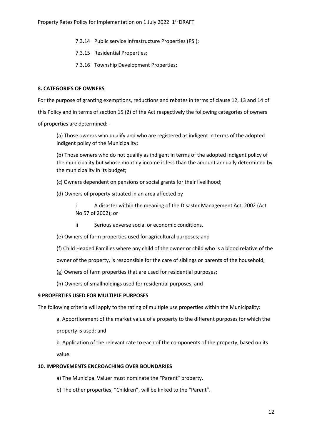- 7.3.14 Public service Infrastructure Properties (PSI);
- 7.3.15 Residential Properties;
- 7.3.16 Township Development Properties;

#### **8. CATEGORIES OF OWNERS**

For the purpose of granting exemptions, reductions and rebates in terms of clause 12, 13 and 14 of this Policy and in terms of section 15 (2) of the Act respectively the following categories of owners of properties are determined: -

(a) Those owners who qualify and who are registered as indigent in terms of the adopted indigent policy of the Municipality;

(b) Those owners who do not qualify as indigent in terms of the adopted indigent policy of the municipality but whose monthly income is less than the amount annually determined by the municipality in its budget;

- (c) Owners dependent on pensions or social grants for their livelihood;
- (d) Owners of property situated in an area affected by
	- i A disaster within the meaning of the Disaster Management Act, 2002 (Act No 57 of 2002); or
	- ii Serious adverse social or economic conditions.
- (e) Owners of farm properties used for agricultural purposes; and
- (f) Child Headed Families where any child of the owner or child who is a blood relative of the

owner of the property, is responsible for the care of siblings or parents of the household;

- (g) Owners of farm properties that are used for residential purposes;
- (h) Owners of smallholdings used for residential purposes, and

#### **9 PROPERTIES USED FOR MULTIPLE PURPOSES**

The following criteria will apply to the rating of multiple use properties within the Municipality:

a. Apportionment of the market value of a property to the different purposes for which the property is used: and

b. Application of the relevant rate to each of the components of the property, based on its value.

#### **10. IMPROVEMENTS ENCROACHING OVER BOUNDARIES**

- a) The Municipal Valuer must nominate the "Parent" property.
- b) The other properties, "Children", will be linked to the "Parent".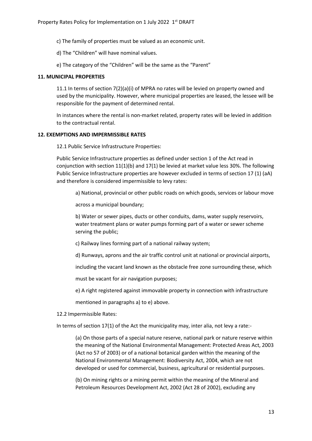c) The family of properties must be valued as an economic unit.

d) The "Children" will have nominal values.

e) The category of the "Children" will be the same as the "Parent"

#### **11. MUNICIPAL PROPERTIES**

11.1 In terms of section 7(2)(a)(i) of MPRA no rates will be levied on property owned and used by the municipality. However, where municipal properties are leased, the lessee will be responsible for the payment of determined rental.

In instances where the rental is non-market related, property rates will be levied in addition to the contractual rental.

# **12. EXEMPTIONS AND IMPERMISSIBLE RATES**

12.1 Public Service Infrastructure Properties:

Public Service Infrastructure properties as defined under section 1 of the Act read in conjunction with section 11(1)(b) and 17(1) be levied at market value less 30%. The following Public Service Infrastructure properties are however excluded in terms of section 17 (1) (aA) and therefore is considered impermissible to levy rates:

a) National, provincial or other public roads on which goods, services or labour move

across a municipal boundary;

b) Water or sewer pipes, ducts or other conduits, dams, water supply reservoirs, water treatment plans or water pumps forming part of a water or sewer scheme serving the public;

c) Railway lines forming part of a national railway system;

d) Runways, aprons and the air traffic control unit at national or provincial airports,

including the vacant land known as the obstacle free zone surrounding these, which

must be vacant for air navigation purposes;

e) A right registered against immovable property in connection with infrastructure

mentioned in paragraphs a) to e) above.

12.2 Impermissible Rates:

In terms of section 17(1) of the Act the municipality may, inter alia, not levy a rate:-

(a) On those parts of a special nature reserve, national park or nature reserve within the meaning of the National Environmental Management: Protected Areas Act, 2003 (Act no 57 of 2003) or of a national botanical garden within the meaning of the National Environmental Management: Biodiversity Act, 2004, which are not developed or used for commercial, business, agricultural or residential purposes.

(b) On mining rights or a mining permit within the meaning of the Mineral and Petroleum Resources Development Act, 2002 (Act 28 of 2002), excluding any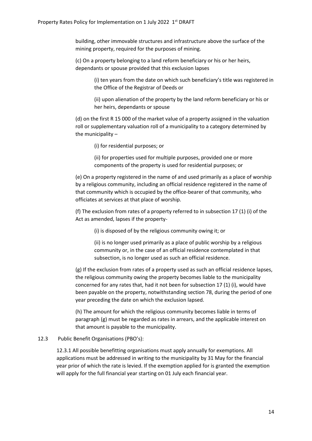building, other immovable structures and infrastructure above the surface of the mining property, required for the purposes of mining.

(c) On a property belonging to a land reform beneficiary or his or her heirs, dependants or spouse provided that this exclusion lapses

> (i) ten years from the date on which such beneficiary's title was registered in the Office of the Registrar of Deeds or

(ii) upon alienation of the property by the land reform beneficiary or his or her heirs, dependants or spouse

(d) on the first R 15 000 of the market value of a property assigned in the valuation roll or supplementary valuation roll of a municipality to a category determined by the municipality –

(i) for residential purposes; or

(ii) for properties used for multiple purposes, provided one or more components of the property is used for residential purposes; or

(e) On a property registered in the name of and used primarily as a place of worship by a religious community, including an official residence registered in the name of that community which is occupied by the office-bearer of that community, who officiates at services at that place of worship.

(f) The exclusion from rates of a property referred to in subsection 17 (1) (i) of the Act as amended, lapses if the property-

(i) is disposed of by the religious community owing it; or

(ii) is no longer used primarily as a place of public worship by a religious community or, in the case of an official residence contemplated in that subsection, is no longer used as such an official residence.

(g) If the exclusion from rates of a property used as such an official residence lapses, the religious community owing the property becomes liable to the municipality concerned for any rates that, had it not been for subsection 17 (1) (i), would have been payable on the property, notwithstanding section 78, during the period of one year preceding the date on which the exclusion lapsed.

(h) The amount for which the religious community becomes liable in terms of paragraph (g) must be regarded as rates in arrears, and the applicable interest on that amount is payable to the municipality.

# 12.3 Public Benefit Organisations (PBO's):

12.3.1 All possible benefitting organisations must apply annually for exemptions. All applications must be addressed in writing to the municipality by 31 May for the financial year prior of which the rate is levied. If the exemption applied for is granted the exemption will apply for the full financial year starting on 01 July each financial year.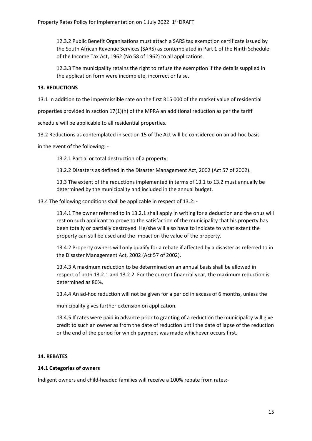12.3.2 Public Benefit Organisations must attach a SARS tax exemption certificate issued by the South African Revenue Services (SARS) as contemplated in Part 1 of the Ninth Schedule of the Income Tax Act, 1962 (No 58 of 1962) to all applications.

12.3.3 The municipality retains the right to refuse the exemption if the details supplied in the application form were incomplete, incorrect or false.

# **13. REDUCTIONS**

13.1 In addition to the impermissible rate on the first R15 000 of the market value of residential

properties provided in section 17(1)(h) of the MPRA an additional reduction as per the tariff

schedule will be applicable to all residential properties.

13.2 Reductions as contemplated in section 15 of the Act will be considered on an ad-hoc basis

in the event of the following: -

13.2.1 Partial or total destruction of a property;

13.2.2 Disasters as defined in the Disaster Management Act, 2002 (Act 57 of 2002).

13.3 The extent of the reductions implemented in terms of 13.1 to 13.2 must annually be determined by the municipality and included in the annual budget.

13.4 The following conditions shall be applicable in respect of 13.2: -

13.4.1 The owner referred to in 13.2.1 shall apply in writing for a deduction and the onus will rest on such applicant to prove to the satisfaction of the municipality that his property has been totally or partially destroyed. He/she will also have to indicate to what extent the property can still be used and the impact on the value of the property.

13.4.2 Property owners will only qualify for a rebate if affected by a disaster as referred to in the Disaster Management Act, 2002 (Act 57 of 2002).

13.4.3 A maximum reduction to be determined on an annual basis shall be allowed in respect of both 13.2.1 and 13.2.2. For the current financial year, the maximum reduction is determined as 80%.

13.4.4 An ad-hoc reduction will not be given for a period in excess of 6 months, unless the

municipality gives further extension on application.

13.4.5 If rates were paid in advance prior to granting of a reduction the municipality will give credit to such an owner as from the date of reduction until the date of lapse of the reduction or the end of the period for which payment was made whichever occurs first.

## **14. REBATES**

#### **14.1 Categories of owners**

Indigent owners and child-headed families will receive a 100% rebate from rates:-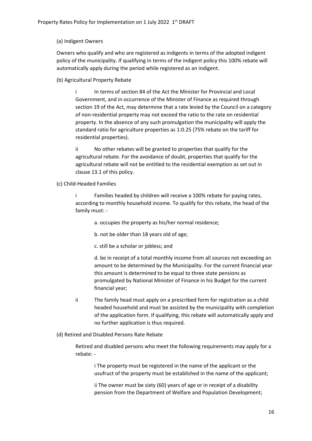## (a) Indigent Owners

Owners who qualify and who are registered as indigents in terms of the adopted indigent policy of the municipality. If qualifying in terms of the indigent policy this 100% rebate will automatically apply during the period while registered as an indigent.

(b) Agricultural Property Rebate

i In terms of section 84 of the Act the Minister for Provincial and Local Government, and in occurrence of the Minister of Finance as required through section 19 of the Act, may determine that a rate levied by the Council on a category of non-residential property may not exceed the ratio to the rate on residential property. In the absence of any such promulgation the municipality will apply the standard ratio for agriculture properties as 1:0.25 (75% rebate on the tariff for residential properties).

ii No other rebates will be granted to properties that qualify for the agricultural rebate. For the avoidance of doubt, properties that qualify for the agricultural rebate will not be entitled to the residential exemption as set out in clause 13.1 of this policy.

(c) Child-Headed Families

i Families headed by children will receive a 100% rebate for paying rates, according to monthly household income. To qualify for this rebate, the head of the family must: -

- a. occupies the property as his/her normal residence;
- b. not be older than 18 years old of age;
- c. still be a scholar or jobless; and

d. be in receipt of a total monthly income from all sources not exceeding an amount to be determined by the Municipality. For the current financial year this amount is determined to be equal to three state pensions as promulgated by National Minister of Finance in his Budget for the current financial year;

- ii The family head must apply on a prescribed form for registration as a child headed household and must be assisted by the municipality with completion of the application form. If qualifying, this rebate will automatically apply and no further application is thus required.
- (d) Retired and Disabled Persons Rate Rebate

Retired and disabled persons who meet the following requirements may apply for a rebate: -

i The property must be registered in the name of the applicant or the usufruct of the property must be established in the name of the applicant;

ii The owner must be sixty (60) years of age or in receipt of a disability pension from the Department of Welfare and Population Development;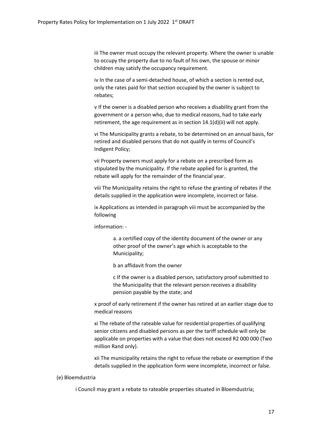iii The owner must occupy the relevant property. Where the owner is unable to occupy the property due to no fault of his own, the spouse or minor children may satisfy the occupancy requirement.

iv In the case of a semi-detached house, of which a section is rented out, only the rates paid for that section occupied by the owner is subject to rebates;

v If the owner is a disabled person who receives a disability grant from the government or a person who, due to medical reasons, had to take early retirement, the age requirement as in section 14.1(d)(ii) will not apply.

vi The Municipality grants a rebate, to be determined on an annual basis, for retired and disabled persons that do not qualify in terms of Council's Indigent Policy;

vii Property owners must apply for a rebate on a prescribed form as stipulated by the municipality. If the rebate applied for is granted, the rebate will apply for the remainder of the financial year.

viii The Municipality retains the right to refuse the granting of rebates if the details supplied in the application were incomplete, incorrect or false.

ix Applications as intended in paragraph viii must be accompanied by the following

information: -

a. a certified copy of the identity document of the owner or any other proof of the owner's age which is acceptable to the Municipality;

b an affidavit from the owner

c If the owner is a disabled person, satisfactory proof submitted to the Municipality that the relevant person receives a disability pension payable by the state; and

x proof of early retirement if the owner has retired at an earlier stage due to medical reasons

xi The rebate of the rateable value for residential properties of qualifying senior citizens and disabled persons as per the tariff schedule will only be applicable on properties with a value that does not exceed R2 000 000 (Two million Rand only).

xii The municipality retains the right to refuse the rebate or exemption if the details supplied in the application form were incomplete, incorrect or false.

## (e) Bloemdustria

i Council may grant a rebate to rateable properties situated in Bloemdustria;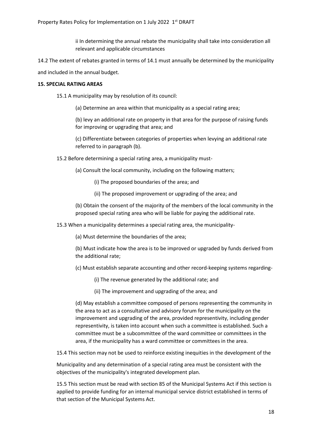ii In determining the annual rebate the municipality shall take into consideration all relevant and applicable circumstances

14.2 The extent of rebates granted in terms of 14.1 must annually be determined by the municipality

and included in the annual budget.

#### **15. SPECIAL RATING AREAS**

15.1 A municipality may by resolution of its council:

(a) Determine an area within that municipality as a special rating area;

(b) levy an additional rate on property in that area for the purpose of raising funds for improving or upgrading that area; and

(c) Differentiate between categories of properties when levying an additional rate referred to in paragraph (b).

15.2 Before determining a special rating area, a municipality must-

(a) Consult the local community, including on the following matters;

- (i) The proposed boundaries of the area; and
- (ii) The proposed improvement or upgrading of the area; and

(b) Obtain the consent of the majority of the members of the local community in the proposed special rating area who will be liable for paying the additional rate.

15.3 When a municipality determines a special rating area, the municipality-

(a) Must determine the boundaries of the area;

(b) Must indicate how the area is to be improved or upgraded by funds derived from the additional rate;

- (c) Must establish separate accounting and other record-keeping systems regarding-
	- (i) The revenue generated by the additional rate; and
	- (ii) The improvement and upgrading of the area; and

(d) May establish a committee composed of persons representing the community in the area to act as a consultative and advisory forum for the municipality on the improvement and upgrading of the area, provided representivity, including gender representivity, is taken into account when such a committee is established. Such a committee must be a subcommittee of the ward committee or committees in the area, if the municipality has a ward committee or committees in the area.

15.4 This section may not be used to reinforce existing inequities in the development of the

Municipality and any determination of a special rating area must be consistent with the objectives of the municipality's integrated development plan.

15.5 This section must be read with section 85 of the Municipal Systems Act if this section is applied to provide funding for an internal municipal service district established in terms of that section of the Municipal Systems Act.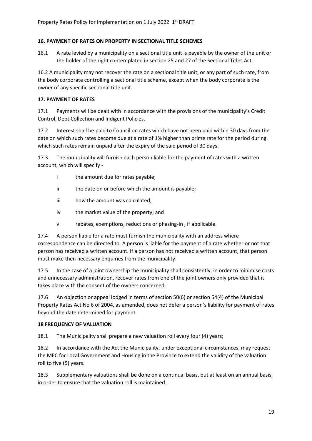# **16. PAYMENT OF RATES ON PROPERTY IN SECTIONAL TITLE SCHEMES**

16.1 A rate levied by a municipality on a sectional title unit is payable by the owner of the unit or the holder of the right contemplated in section 25 and 27 of the Sectional Titles Act.

16.2 A municipality may not recover the rate on a sectional title unit, or any part of such rate, from the body corporate controlling a sectional title scheme, except when the body corporate is the owner of any specific sectional title unit.

# **17. PAYMENT OF RATES**

17.1 Payments will be dealt with in accordance with the provisions of the municipality's Credit Control, Debt Collection and Indigent Policies.

17.2 Interest shall be paid to Council on rates which have not been paid within 30 days from the date on which such rates become due at a rate of 1% higher than prime rate for the period during which such rates remain unpaid after the expiry of the said period of 30 days.

17.3 The municipality will furnish each person liable for the payment of rates with a written account, which will specify -

- i the amount due for rates payable:
- ii the date on or before which the amount is payable;
- iii how the amount was calculated;
- iv the market value of the property; and
- v rebates, exemptions, reductions or phasing-in , if applicable.

17.4 A person liable for a rate must furnish the municipality with an address where correspondence can be directed to. A person is liable for the payment of a rate whether or not that person has received a written account. If a person has not received a written account, that person must make then necessary enquiries from the municipality.

17.5 In the case of a joint ownership the municipality shall consistently, in order to minimise costs and unnecessary administration, recover rates from one of the joint owners only provided that it takes place with the consent of the owners concerned.

17.6 An objection or appeal lodged in terms of section 50(6) or section 54(4) of the Municipal Property Rates Act No 6 of 2004, as amended, does not defer a person's liability for payment of rates beyond the date determined for payment.

## **18 FREQUENCY OF VALUATION**

18.1 The Municipality shall prepare a new valuation roll every four (4) years;

18.2 In accordance with the Act the Municipality, under exceptional circumstances, may request the MEC for Local Government and Housing in the Province to extend the validity of the valuation roll to five (5) years.

18.3 Supplementary valuations shall be done on a continual basis, but at least on an annual basis, in order to ensure that the valuation roll is maintained.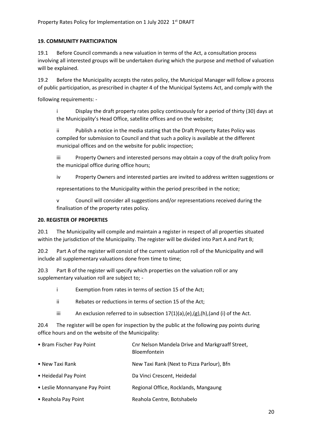# **19. COMMUNITY PARTICIPATION**

19.1 Before Council commands a new valuation in terms of the Act, a consultation process involving all interested groups will be undertaken during which the purpose and method of valuation will be explained.

19.2 Before the Municipality accepts the rates policy, the Municipal Manager will follow a process of public participation, as prescribed in chapter 4 of the Municipal Systems Act, and comply with the

following requirements: -

i Display the draft property rates policy continuously for a period of thirty (30) days at the Municipality's Head Office, satellite offices and on the website;

ii Publish a notice in the media stating that the Draft Property Rates Policy was compiled for submission to Council and that such a policy is available at the different municipal offices and on the website for public inspection;

iii Property Owners and interested persons may obtain a copy of the draft policy from the municipal office during office hours;

iv Property Owners and interested parties are invited to address written suggestions or

representations to the Municipality within the period prescribed in the notice;

v Council will consider all suggestions and/or representations received during the finalisation of the property rates policy.

## **20. REGISTER OF PROPERTIES**

20.1 The Municipality will compile and maintain a register in respect of all properties situated within the jurisdiction of the Municipality. The register will be divided into Part A and Part B;

20.2 Part A of the register will consist of the current valuation roll of the Municipality and will include all supplementary valuations done from time to time;

20.3 Part B of the register will specify which properties on the valuation roll or any supplementary valuation roll are subject to; -

- i Exemption from rates in terms of section 15 of the Act;
- ii Rebates or reductions in terms of section 15 of the Act;
- iii An exclusion referred to in subsection  $17(1)(a)$ ,  $(e)$ ,  $(g)$ ,  $(h)$ ,  $(and (i)$  of the Act.

20.4 The register will be open for inspection by the public at the following pay points during office hours and on the website of the Municipality:

| • Bram Fischer Pay Point      | Cnr Nelson Mandela Drive and Markgraaff Street,<br>Bloemfontein |
|-------------------------------|-----------------------------------------------------------------|
| • New Taxi Rank               | New Taxi Rank (Next to Pizza Parlour), Bfn                      |
| • Heidedal Pay Point          | Da Vinci Crescent, Heidedal                                     |
| • Leslie Monnanyane Pay Point | Regional Office, Rocklands, Mangaung                            |
| • Reahola Pay Point           | Reahola Centre, Botshabelo                                      |